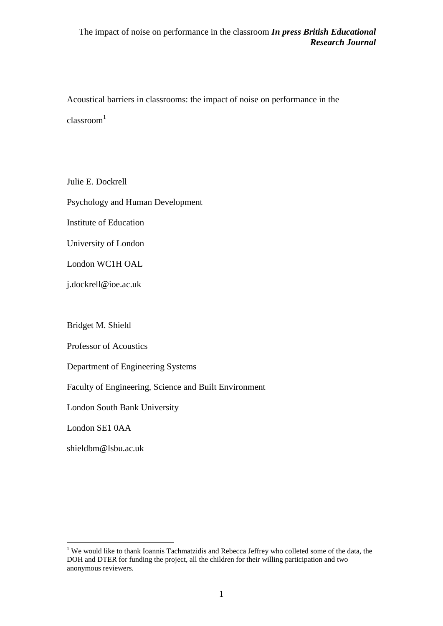Acoustical barriers in classrooms: the impact of noise on performance in the  $classroom<sup>1</sup>$ 

Julie E. Dockrell Psychology and Human Development Institute of Education University of London London WC1H OAL j.dockrell@ioe.ac.uk

Bridget M. Shield

Professor of Acoustics

Department of Engineering Systems

Faculty of Engineering, Science and Built Environment

London South Bank University

London SE1 0AA

 $\overline{a}$ 

shieldbm@lsbu.ac.uk

<sup>&</sup>lt;sup>1</sup> We would like to thank Ioannis Tachmatzidis and Rebecca Jeffrey who colleted some of the data, the DOH and DTER for funding the project, all the children for their willing participation and two anonymous reviewers.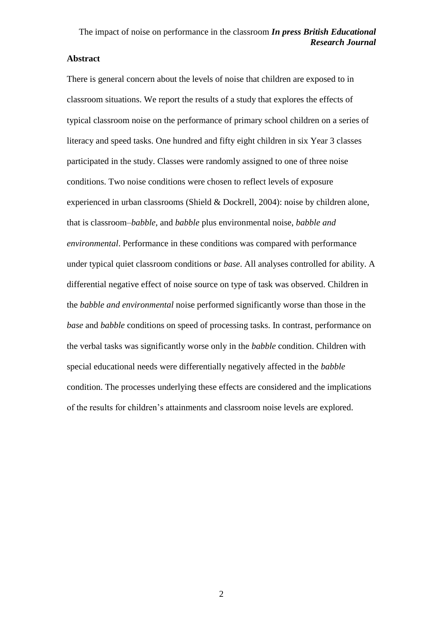## **Abstract**

There is general concern about the levels of noise that children are exposed to in classroom situations. We report the results of a study that explores the effects of typical classroom noise on the performance of primary school children on a series of literacy and speed tasks. One hundred and fifty eight children in six Year 3 classes participated in the study. Classes were randomly assigned to one of three noise conditions. Two noise conditions were chosen to reflect levels of exposure experienced in urban classrooms (Shield & Dockrell, 2004): noise by children alone, that is classroom–*babble*, and *babble* plus environmental noise, *babble and environmental*. Performance in these conditions was compared with performance under typical quiet classroom conditions or *base*. All analyses controlled for ability. A differential negative effect of noise source on type of task was observed. Children in the *babble and environmental* noise performed significantly worse than those in the *base* and *babble* conditions on speed of processing tasks. In contrast, performance on the verbal tasks was significantly worse only in the *babble* condition. Children with special educational needs were differentially negatively affected in the *babble* condition. The processes underlying these effects are considered and the implications of the results for children's attainments and classroom noise levels are explored.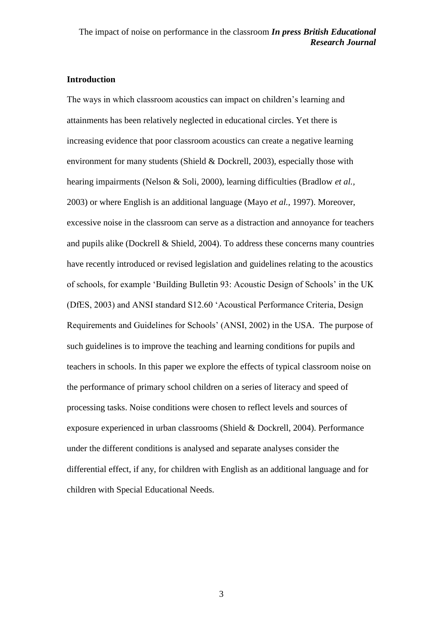### **Introduction**

The ways in which classroom acoustics can impact on children's learning and attainments has been relatively neglected in educational circles. Yet there is increasing evidence that poor classroom acoustics can create a negative learning environment for many students (Shield & Dockrell, 2003), especially those with hearing impairments (Nelson & Soli, 2000), learning difficulties (Bradlow *et al.,*  2003) or where English is an additional language (Mayo *et al.,* 1997). Moreover, excessive noise in the classroom can serve as a distraction and annoyance for teachers and pupils alike (Dockrell & Shield, 2004). To address these concerns many countries have recently introduced or revised legislation and guidelines relating to the acoustics of schools, for example 'Building Bulletin 93: Acoustic Design of Schools' in the UK (DfES, 2003) and ANSI standard S12.60 'Acoustical Performance Criteria, Design Requirements and Guidelines for Schools' (ANSI, 2002) in the USA. The purpose of such guidelines is to improve the teaching and learning conditions for pupils and teachers in schools. In this paper we explore the effects of typical classroom noise on the performance of primary school children on a series of literacy and speed of processing tasks. Noise conditions were chosen to reflect levels and sources of exposure experienced in urban classrooms (Shield & Dockrell, 2004). Performance under the different conditions is analysed and separate analyses consider the differential effect, if any, for children with English as an additional language and for children with Special Educational Needs.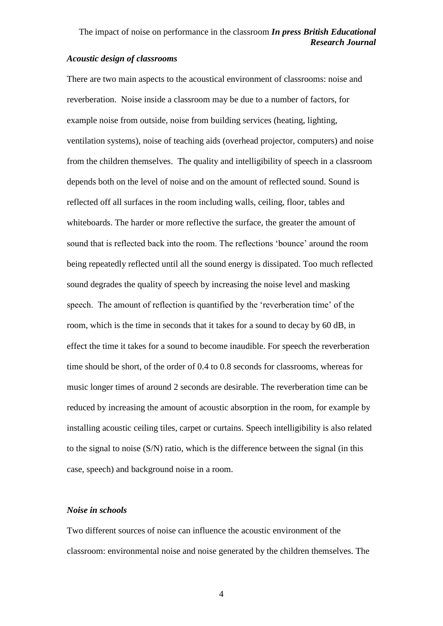### *Acoustic design of classrooms*

There are two main aspects to the acoustical environment of classrooms: noise and reverberation. Noise inside a classroom may be due to a number of factors, for example noise from outside, noise from building services (heating, lighting, ventilation systems), noise of teaching aids (overhead projector, computers) and noise from the children themselves. The quality and intelligibility of speech in a classroom depends both on the level of noise and on the amount of reflected sound. Sound is reflected off all surfaces in the room including walls, ceiling, floor, tables and whiteboards. The harder or more reflective the surface, the greater the amount of sound that is reflected back into the room. The reflections 'bounce' around the room being repeatedly reflected until all the sound energy is dissipated. Too much reflected sound degrades the quality of speech by increasing the noise level and masking speech. The amount of reflection is quantified by the 'reverberation time' of the room, which is the time in seconds that it takes for a sound to decay by 60 dB, in effect the time it takes for a sound to become inaudible. For speech the reverberation time should be short, of the order of 0.4 to 0.8 seconds for classrooms, whereas for music longer times of around 2 seconds are desirable. The reverberation time can be reduced by increasing the amount of acoustic absorption in the room, for example by installing acoustic ceiling tiles, carpet or curtains. Speech intelligibility is also related to the signal to noise (S/N) ratio, which is the difference between the signal (in this case, speech) and background noise in a room.

### *Noise in schools*

Two different sources of noise can influence the acoustic environment of the classroom: environmental noise and noise generated by the children themselves. The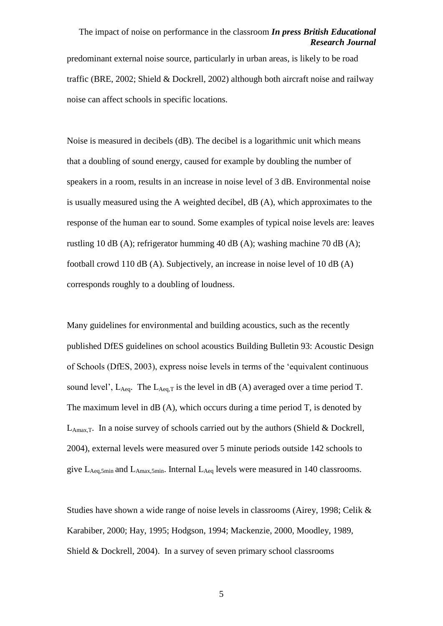predominant external noise source, particularly in urban areas, is likely to be road traffic (BRE, 2002; Shield & Dockrell, 2002) although both aircraft noise and railway noise can affect schools in specific locations.

Noise is measured in decibels (dB). The decibel is a logarithmic unit which means that a doubling of sound energy, caused for example by doubling the number of speakers in a room, results in an increase in noise level of 3 dB. Environmental noise is usually measured using the A weighted decibel, dB (A), which approximates to the response of the human ear to sound. Some examples of typical noise levels are: leaves rustling 10 dB (A); refrigerator humming 40 dB (A); washing machine 70 dB (A); football crowd 110 dB (A). Subjectively, an increase in noise level of 10 dB (A) corresponds roughly to a doubling of loudness.

Many guidelines for environmental and building acoustics, such as the recently published DfES guidelines on school acoustics Building Bulletin 93: Acoustic Design of Schools (DfES, 2003), express noise levels in terms of the 'equivalent continuous sound level',  $L_{\text{Aeg}}$ . The  $L_{\text{Aeg}}$  is the level in dB (A) averaged over a time period T. The maximum level in  $\text{dB}(A)$ , which occurs during a time period T, is denoted by  $L_{\text{Amax T}}$ . In a noise survey of schools carried out by the authors (Shield & Dockrell, 2004), external levels were measured over 5 minute periods outside 142 schools to give LAeq,5min and LAmax,5min. Internal LAeq levels were measured in 140 classrooms.

Studies have shown a wide range of noise levels in classrooms (Airey, 1998; Celik & Karabiber, 2000; Hay, 1995; Hodgson, 1994; Mackenzie, 2000, Moodley, 1989, Shield & Dockrell, 2004). In a survey of seven primary school classrooms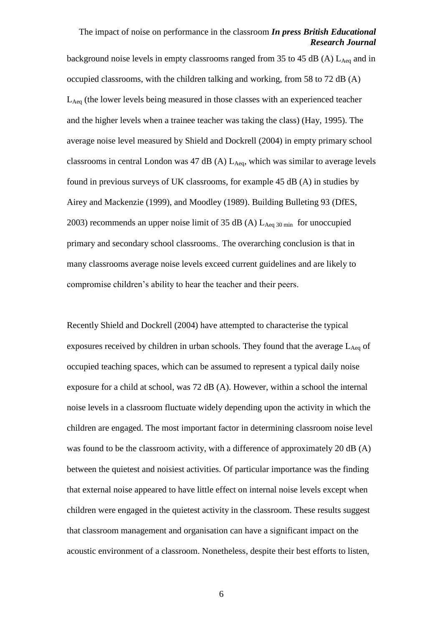background noise levels in empty classrooms ranged from 35 to 45 dB (A)  $L_{Aeq}$  and in occupied classrooms, with the children talking and working, from 58 to 72 dB (A) LAeq (the lower levels being measured in those classes with an experienced teacher and the higher levels when a trainee teacher was taking the class) (Hay, 1995). The average noise level measured by Shield and Dockrell (2004) in empty primary school classrooms in central London was  $47$  dB (A)  $L_{Aea}$ , which was similar to average levels found in previous surveys of UK classrooms, for example 45 dB (A) in studies by Airey and Mackenzie (1999), and Moodley (1989). Building Bulleting 93 (DfES, 2003) recommends an upper noise limit of 35 dB (A)  $L_{Aeq 30 min}$  for unoccupied primary and secondary school classrooms.. The overarching conclusion is that in many classrooms average noise levels exceed current guidelines and are likely to compromise children's ability to hear the teacher and their peers.

Recently Shield and Dockrell (2004) have attempted to characterise the typical exposures received by children in urban schools. They found that the average  $L_{Aeq}$  of occupied teaching spaces, which can be assumed to represent a typical daily noise exposure for a child at school, was 72 dB (A). However, within a school the internal noise levels in a classroom fluctuate widely depending upon the activity in which the children are engaged. The most important factor in determining classroom noise level was found to be the classroom activity, with a difference of approximately 20 dB (A) between the quietest and noisiest activities. Of particular importance was the finding that external noise appeared to have little effect on internal noise levels except when children were engaged in the quietest activity in the classroom. These results suggest that classroom management and organisation can have a significant impact on the acoustic environment of a classroom. Nonetheless, despite their best efforts to listen,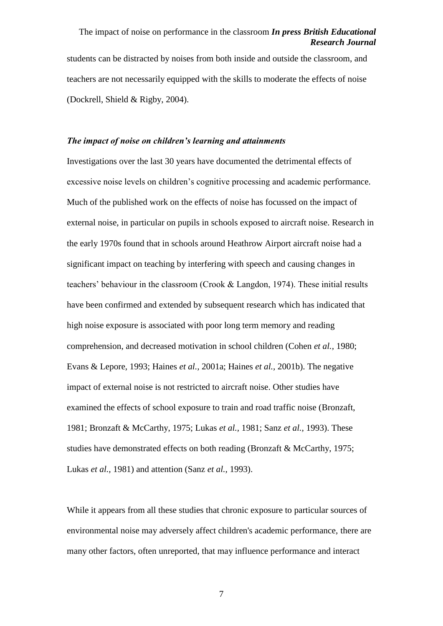students can be distracted by noises from both inside and outside the classroom, and teachers are not necessarily equipped with the skills to moderate the effects of noise (Dockrell, Shield & Rigby, 2004).

#### *The impact of noise on children's learning and attainments*

Investigations over the last 30 years have documented the detrimental effects of excessive noise levels on children's cognitive processing and academic performance. Much of the published work on the effects of noise has focussed on the impact of external noise, in particular on pupils in schools exposed to aircraft noise. Research in the early 1970s found that in schools around Heathrow Airport aircraft noise had a significant impact on teaching by interfering with speech and causing changes in teachers' behaviour in the classroom (Crook & Langdon, 1974). These initial results have been confirmed and extended by subsequent research which has indicated that high noise exposure is associated with poor long term memory and reading comprehension, and decreased motivation in school children (Cohen *et al.,* 1980; Evans & Lepore, 1993; Haines *et al.,* 2001a; Haines *et al.,* 2001b). The negative impact of external noise is not restricted to aircraft noise. Other studies have examined the effects of school exposure to train and road traffic noise (Bronzaft, 1981; Bronzaft & McCarthy, 1975; Lukas *et al.,* 1981; Sanz *et al.,* 1993). These studies have demonstrated effects on both reading (Bronzaft & McCarthy, 1975; Lukas *et al.,* 1981) and attention (Sanz *et al.,* 1993).

While it appears from all these studies that chronic exposure to particular sources of environmental noise may adversely affect children's academic performance, there are many other factors, often unreported, that may influence performance and interact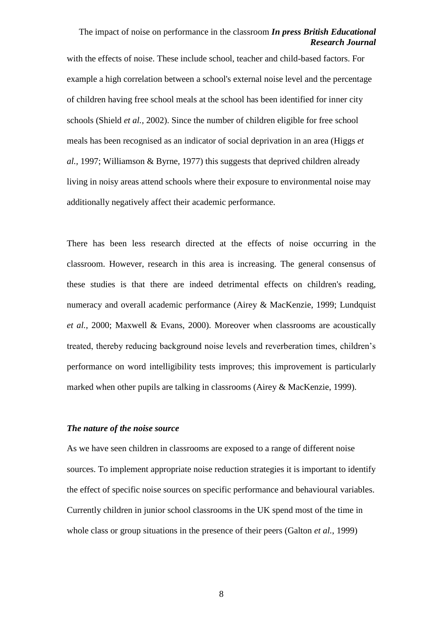with the effects of noise. These include school, teacher and child-based factors. For example a high correlation between a school's external noise level and the percentage of children having free school meals at the school has been identified for inner city schools (Shield *et al.,* 2002). Since the number of children eligible for free school meals has been recognised as an indicator of social deprivation in an area (Higgs *et al.,* 1997; Williamson & Byrne, 1977) this suggests that deprived children already living in noisy areas attend schools where their exposure to environmental noise may additionally negatively affect their academic performance.

There has been less research directed at the effects of noise occurring in the classroom. However, research in this area is increasing. The general consensus of these studies is that there are indeed detrimental effects on children's reading, numeracy and overall academic performance (Airey & MacKenzie, 1999; Lundquist *et al.,* 2000; Maxwell & Evans, 2000). Moreover when classrooms are acoustically treated, thereby reducing background noise levels and reverberation times, children's performance on word intelligibility tests improves; this improvement is particularly marked when other pupils are talking in classrooms (Airey & MacKenzie, 1999).

### *The nature of the noise source*

As we have seen children in classrooms are exposed to a range of different noise sources. To implement appropriate noise reduction strategies it is important to identify the effect of specific noise sources on specific performance and behavioural variables. Currently children in junior school classrooms in the UK spend most of the time in whole class or group situations in the presence of their peers (Galton *et al.*, 1999)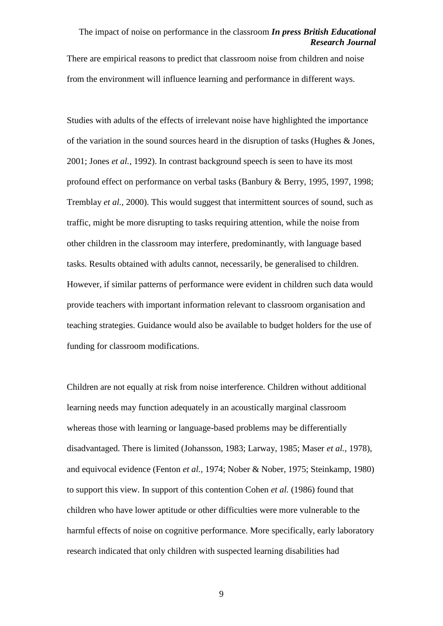There are empirical reasons to predict that classroom noise from children and noise from the environment will influence learning and performance in different ways.

Studies with adults of the effects of irrelevant noise have highlighted the importance of the variation in the sound sources heard in the disruption of tasks (Hughes & Jones, 2001; Jones *et al.,* 1992). In contrast background speech is seen to have its most profound effect on performance on verbal tasks (Banbury & Berry, 1995, 1997, 1998; Tremblay *et al.,* 2000). This would suggest that intermittent sources of sound, such as traffic, might be more disrupting to tasks requiring attention, while the noise from other children in the classroom may interfere, predominantly, with language based tasks. Results obtained with adults cannot, necessarily, be generalised to children. However, if similar patterns of performance were evident in children such data would provide teachers with important information relevant to classroom organisation and teaching strategies. Guidance would also be available to budget holders for the use of funding for classroom modifications.

Children are not equally at risk from noise interference. Children without additional learning needs may function adequately in an acoustically marginal classroom whereas those with learning or language-based problems may be differentially disadvantaged. There is limited (Johansson, 1983; Larway, 1985; Maser *et al.,* 1978), and equivocal evidence (Fenton *et al.,* 1974; Nober & Nober, 1975; Steinkamp, 1980) to support this view. In support of this contention Cohen *et al.* (1986) found that children who have lower aptitude or other difficulties were more vulnerable to the harmful effects of noise on cognitive performance. More specifically, early laboratory research indicated that only children with suspected learning disabilities had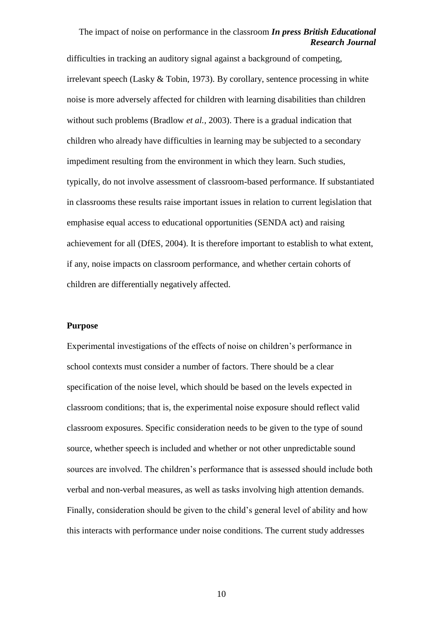difficulties in tracking an auditory signal against a background of competing, irrelevant speech (Lasky & Tobin, 1973). By corollary, sentence processing in white noise is more adversely affected for children with learning disabilities than children without such problems (Bradlow *et al.,* 2003). There is a gradual indication that children who already have difficulties in learning may be subjected to a secondary impediment resulting from the environment in which they learn. Such studies, typically, do not involve assessment of classroom-based performance. If substantiated in classrooms these results raise important issues in relation to current legislation that emphasise equal access to educational opportunities (SENDA act) and raising achievement for all (DfES, 2004). It is therefore important to establish to what extent, if any, noise impacts on classroom performance, and whether certain cohorts of children are differentially negatively affected.

#### **Purpose**

Experimental investigations of the effects of noise on children's performance in school contexts must consider a number of factors. There should be a clear specification of the noise level, which should be based on the levels expected in classroom conditions; that is, the experimental noise exposure should reflect valid classroom exposures. Specific consideration needs to be given to the type of sound source, whether speech is included and whether or not other unpredictable sound sources are involved. The children's performance that is assessed should include both verbal and non-verbal measures, as well as tasks involving high attention demands. Finally, consideration should be given to the child's general level of ability and how this interacts with performance under noise conditions. The current study addresses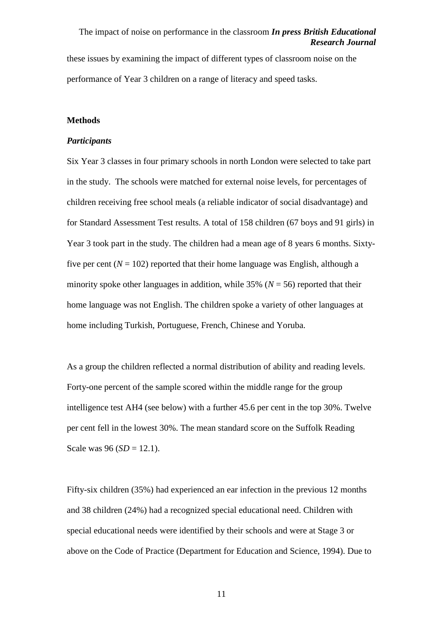these issues by examining the impact of different types of classroom noise on the performance of Year 3 children on a range of literacy and speed tasks.

### **Methods**

#### *Participants*

Six Year 3 classes in four primary schools in north London were selected to take part in the study. The schools were matched for external noise levels, for percentages of children receiving free school meals (a reliable indicator of social disadvantage) and for Standard Assessment Test results. A total of 158 children (67 boys and 91 girls) in Year 3 took part in the study. The children had a mean age of 8 years 6 months. Sixtyfive per cent  $(N = 102)$  reported that their home language was English, although a minority spoke other languages in addition, while  $35\%$  ( $N = 56$ ) reported that their home language was not English. The children spoke a variety of other languages at home including Turkish, Portuguese, French, Chinese and Yoruba.

As a group the children reflected a normal distribution of ability and reading levels. Forty-one percent of the sample scored within the middle range for the group intelligence test AH4 (see below) with a further 45.6 per cent in the top 30%. Twelve per cent fell in the lowest 30%. The mean standard score on the Suffolk Reading Scale was  $96 (SD = 12.1)$ .

Fifty-six children (35%) had experienced an ear infection in the previous 12 months and 38 children (24%) had a recognized special educational need. Children with special educational needs were identified by their schools and were at Stage 3 or above on the Code of Practice (Department for Education and Science, 1994). Due to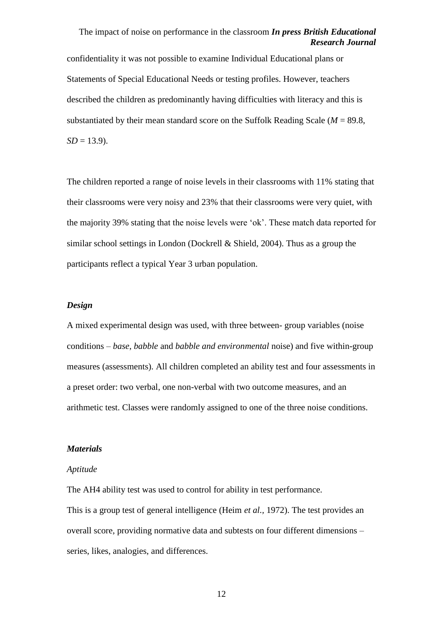confidentiality it was not possible to examine Individual Educational plans or Statements of Special Educational Needs or testing profiles. However, teachers described the children as predominantly having difficulties with literacy and this is substantiated by their mean standard score on the Suffolk Reading Scale (*M* = 89.8,  $SD = 13.9$ .

The children reported a range of noise levels in their classrooms with 11% stating that their classrooms were very noisy and 23% that their classrooms were very quiet, with the majority 39% stating that the noise levels were 'ok'. These match data reported for similar school settings in London (Dockrell & Shield, 2004). Thus as a group the participants reflect a typical Year 3 urban population.

### *Design*

A mixed experimental design was used, with three between- group variables (noise conditions – *base*, *babble* and *babble and environmental* noise) and five within-group measures (assessments). All children completed an ability test and four assessments in a preset order: two verbal, one non-verbal with two outcome measures, and an arithmetic test. Classes were randomly assigned to one of the three noise conditions.

#### *Materials*

#### *Aptitude*

The AH4 ability test was used to control for ability in test performance. This is a group test of general intelligence (Heim *et al.,* 1972). The test provides an overall score, providing normative data and subtests on four different dimensions – series, likes, analogies, and differences.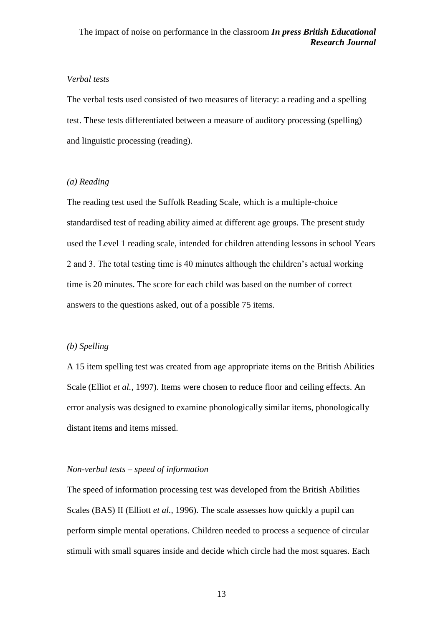### *Verbal tests*

The verbal tests used consisted of two measures of literacy: a reading and a spelling test. These tests differentiated between a measure of auditory processing (spelling) and linguistic processing (reading).

### *(a) Reading*

The reading test used the Suffolk Reading Scale, which is a multiple-choice standardised test of reading ability aimed at different age groups. The present study used the Level 1 reading scale, intended for children attending lessons in school Years 2 and 3. The total testing time is 40 minutes although the children's actual working time is 20 minutes. The score for each child was based on the number of correct answers to the questions asked, out of a possible 75 items.

### *(b) Spelling*

A 15 item spelling test was created from age appropriate items on the British Abilities Scale (Elliot *et al.,* 1997). Items were chosen to reduce floor and ceiling effects. An error analysis was designed to examine phonologically similar items, phonologically distant items and items missed.

#### *Non-verbal tests – speed of information*

The speed of information processing test was developed from the British Abilities Scales (BAS) II (Elliott *et al.,* 1996). The scale assesses how quickly a pupil can perform simple mental operations. Children needed to process a sequence of circular stimuli with small squares inside and decide which circle had the most squares. Each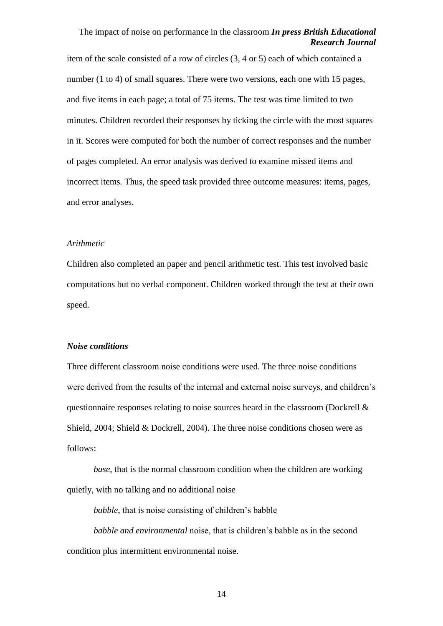item of the scale consisted of a row of circles (3, 4 or 5) each of which contained a number (1 to 4) of small squares. There were two versions, each one with 15 pages, and five items in each page; a total of 75 items. The test was time limited to two minutes. Children recorded their responses by ticking the circle with the most squares in it. Scores were computed for both the number of correct responses and the number of pages completed. An error analysis was derived to examine missed items and incorrect items. Thus, the speed task provided three outcome measures: items, pages, and error analyses.

#### *Arithmetic*

Children also completed an paper and pencil arithmetic test. This test involved basic computations but no verbal component. Children worked through the test at their own speed.

#### *Noise conditions*

Three different classroom noise conditions were used. The three noise conditions were derived from the results of the internal and external noise surveys, and children's questionnaire responses relating to noise sources heard in the classroom (Dockrell & Shield, 2004; Shield & Dockrell, 2004). The three noise conditions chosen were as follows:

*base*, that is the normal classroom condition when the children are working quietly, with no talking and no additional noise

*babble*, that is noise consisting of children's babble

*babble and environmental* noise, that is children's babble as in the second condition plus intermittent environmental noise.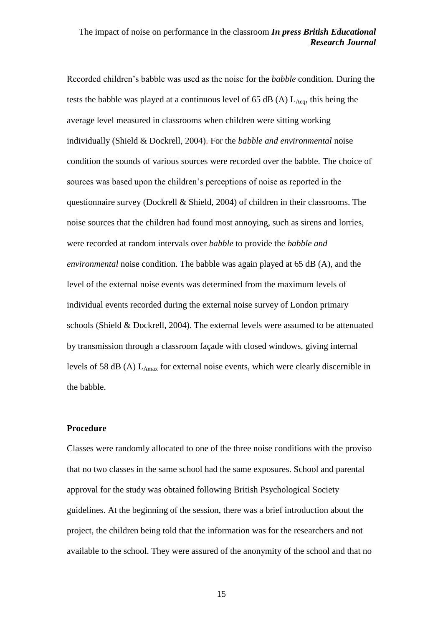Recorded children's babble was used as the noise for the *babble* condition. During the tests the babble was played at a continuous level of 65 dB (A)  $L_{Aeq}$ , this being the average level measured in classrooms when children were sitting working individually (Shield & Dockrell, 2004). For the *babble and environmental* noise condition the sounds of various sources were recorded over the babble*.* The choice of sources was based upon the children's perceptions of noise as reported in the questionnaire survey (Dockrell & Shield, 2004) of children in their classrooms. The noise sources that the children had found most annoying, such as sirens and lorries, were recorded at random intervals over *babble* to provide the *babble and environmental* noise condition. The babble was again played at 65 dB (A), and the level of the external noise events was determined from the maximum levels of individual events recorded during the external noise survey of London primary schools (Shield & Dockrell, 2004). The external levels were assumed to be attenuated by transmission through a classroom façade with closed windows, giving internal levels of 58 dB (A)  $L_{Amax}$  for external noise events, which were clearly discernible in the babble.

### **Procedure**

Classes were randomly allocated to one of the three noise conditions with the proviso that no two classes in the same school had the same exposures. School and parental approval for the study was obtained following British Psychological Society guidelines. At the beginning of the session, there was a brief introduction about the project, the children being told that the information was for the researchers and not available to the school. They were assured of the anonymity of the school and that no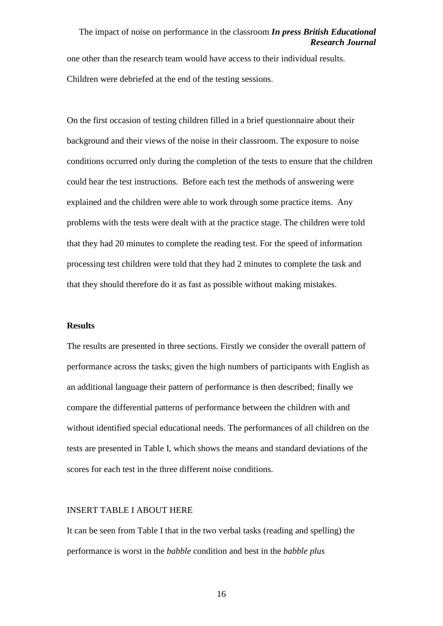one other than the research team would have access to their individual results. Children were debriefed at the end of the testing sessions.

On the first occasion of testing children filled in a brief questionnaire about their background and their views of the noise in their classroom. The exposure to noise conditions occurred only during the completion of the tests to ensure that the children could hear the test instructions. Before each test the methods of answering were explained and the children were able to work through some practice items. Any problems with the tests were dealt with at the practice stage. The children were told that they had 20 minutes to complete the reading test. For the speed of information processing test children were told that they had 2 minutes to complete the task and that they should therefore do it as fast as possible without making mistakes.

#### **Results**

The results are presented in three sections. Firstly we consider the overall pattern of performance across the tasks; given the high numbers of participants with English as an additional language their pattern of performance is then described; finally we compare the differential patterns of performance between the children with and without identified special educational needs. The performances of all children on the tests are presented in Table I, which shows the means and standard deviations of the scores for each test in the three different noise conditions.

### INSERT TABLE I ABOUT HERE

It can be seen from Table I that in the two verbal tasks (reading and spelling) the performance is worst in the *babble* condition and best in the *babble plus*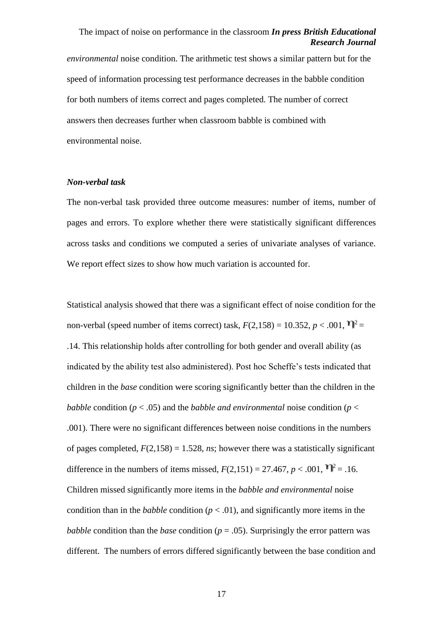*environmental* noise condition. The arithmetic test shows a similar pattern but for the speed of information processing test performance decreases in the babble condition for both numbers of items correct and pages completed. The number of correct answers then decreases further when classroom babble is combined with environmental noise.

#### *Non-verbal task*

The non-verbal task provided three outcome measures: number of items, number of pages and errors. To explore whether there were statistically significant differences across tasks and conditions we computed a series of univariate analyses of variance. We report effect sizes to show how much variation is accounted for.

Statistical analysis showed that there was a significant effect of noise condition for the non-verbal (speed number of items correct) task,  $F(2,158) = 10.352, p < .001$ ,  $\mathbf{T}^2 =$ .14. This relationship holds after controlling for both gender and overall ability (as indicated by the ability test also administered). Post hoc Scheffe's tests indicated that children in the *base* condition were scoring significantly better than the children in the *babble* condition ( $p < .05$ ) and the *babble and environmental* noise condition ( $p <$ .001). There were no significant differences between noise conditions in the numbers of pages completed,  $F(2,158) = 1.528$ , *ns*; however there was a statistically significant difference in the numbers of items missed,  $F(2.151) = 27.467$ ,  $p < .001$ ,  $\mathbf{T}^2 = .16$ . Children missed significantly more items in the *babble and environmental* noise condition than in the *babble* condition ( $p < .01$ ), and significantly more items in the *babble* condition than the *base* condition ( $p = .05$ ). Surprisingly the error pattern was different. The numbers of errors differed significantly between the base condition and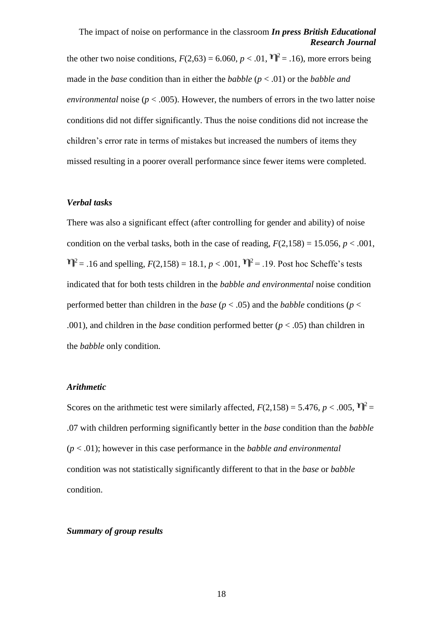the other two noise conditions,  $F(2.63) = 6.060$ ,  $p < .01$ ,  $\mathbf{T}^2 = .16$ ), more errors being made in the *base* condition than in either the *babble* (*p* < .01) or the *babble and environmental* noise ( $p < .005$ ). However, the numbers of errors in the two latter noise conditions did not differ significantly. Thus the noise conditions did not increase the children's error rate in terms of mistakes but increased the numbers of items they missed resulting in a poorer overall performance since fewer items were completed.

### *Verbal tasks*

There was also a significant effect (after controlling for gender and ability) of noise condition on the verbal tasks, both in the case of reading,  $F(2,158) = 15.056$ ,  $p < .001$ ,  $T_1^2$  = .16 and spelling,  $F(2,158) = 18.1, p < .001$ ,  $T_1^2 = .19$ . Post hoc Scheffe's tests indicated that for both tests children in the *babble and environmental* noise condition performed better than children in the *base* ( $p < .05$ ) and the *babble* conditions ( $p <$ .001), and children in the *base* condition performed better (*p* < .05) than children in the *babble* only condition.

### *Arithmetic*

Scores on the arithmetic test were similarly affected,  $F(2,158) = 5.476$ ,  $p < .005$ ,  $\mathbf{T}^2 =$ .07 with children performing significantly better in the *base* condition than the *babble* (*p* < .01); however in this case performance in the *babble and environmental* condition was not statistically significantly different to that in the *base* or *babble*  condition.

#### *Summary of group results*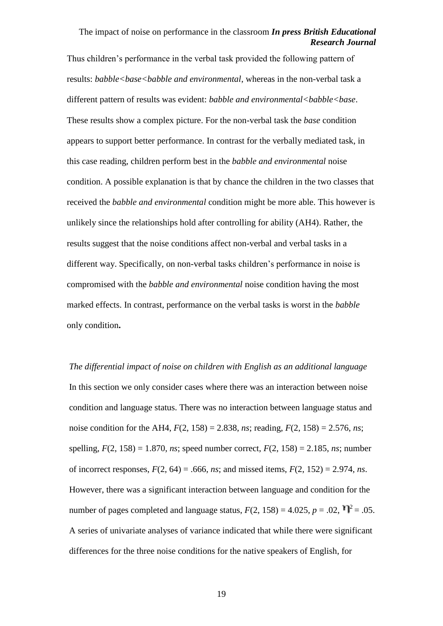Thus children's performance in the verbal task provided the following pattern of results: *babble<base<babble and environmental*, whereas in the non-verbal task a different pattern of results was evident: *babble and environmental<br/>l*oabble<br/>base. These results show a complex picture. For the non-verbal task the *base* condition appears to support better performance. In contrast for the verbally mediated task, in this case reading, children perform best in the *babble and environmental* noise condition. A possible explanation is that by chance the children in the two classes that received the *babble and environmental* condition might be more able. This however is unlikely since the relationships hold after controlling for ability (AH4). Rather, the results suggest that the noise conditions affect non-verbal and verbal tasks in a different way. Specifically, on non-verbal tasks children's performance in noise is compromised with the *babble and environmental* noise condition having the most marked effects. In contrast, performance on the verbal tasks is worst in the *babble* only condition**.** 

*The differential impact of noise on children with English as an additional language* In this section we only consider cases where there was an interaction between noise condition and language status. There was no interaction between language status and noise condition for the AH4, *F*(2, 158) = 2.838, *ns*; reading, *F*(2, 158) = 2.576, *ns*; spelling, *F*(2, 158) = 1.870, *ns*; speed number correct, *F*(2, 158) = 2.185, *ns*; number of incorrect responses,  $F(2, 64) = .666$ , *ns*; and missed items,  $F(2, 152) = 2.974$ , *ns*. However, there was a significant interaction between language and condition for the number of pages completed and language status,  $F(2, 158) = 4.025$ ,  $p = .02$ ,  $\mathbf{\hat{V}}^2 = .05$ . A series of univariate analyses of variance indicated that while there were significant differences for the three noise conditions for the native speakers of English, for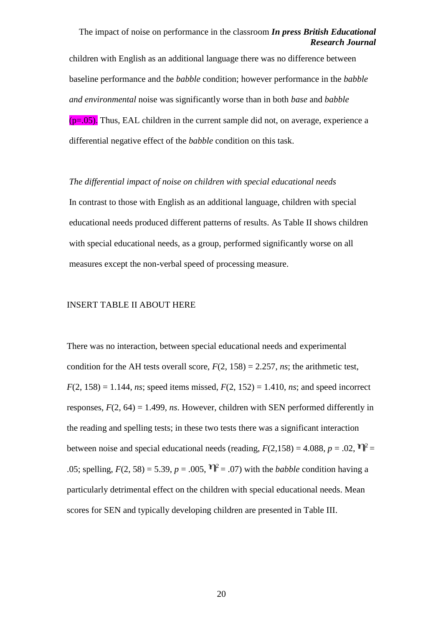children with English as an additional language there was no difference between baseline performance and the *babble* condition; however performance in the *babble and environmental* noise was significantly worse than in both *base* and *babble*  $(p=0.05)$ . Thus, EAL children in the current sample did not, on average, experience a differential negative effect of the *babble* condition on this task.

*The differential impact of noise on children with special educational needs* In contrast to those with English as an additional language, children with special educational needs produced different patterns of results. As Table II shows children with special educational needs, as a group, performed significantly worse on all measures except the non-verbal speed of processing measure.

### INSERT TABLE II ABOUT HERE

There was no interaction, between special educational needs and experimental condition for the AH tests overall score,  $F(2, 158) = 2.257$ , *ns*; the arithmetic test,  $F(2, 158) = 1.144$ , *ns*; speed items missed,  $F(2, 152) = 1.410$ , *ns*; and speed incorrect responses, *F*(2, 64) = 1.499, *ns*. However, children with SEN performed differently in the reading and spelling tests; in these two tests there was a significant interaction between noise and special educational needs (reading,  $F(2,158) = 4.088$ ,  $p = .02$ ,  $\mathbf{T}^2 =$ .05; spelling,  $F(2, 58) = 5.39$ ,  $p = .005$ ,  $T_1^2 = .07$ ) with the *babble* condition having a particularly detrimental effect on the children with special educational needs. Mean scores for SEN and typically developing children are presented in Table III.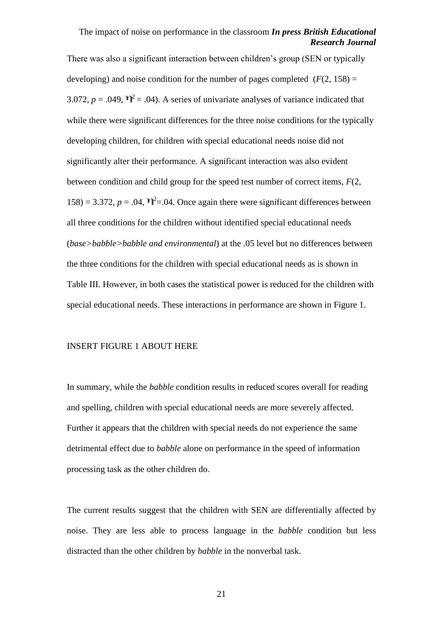There was also a significant interaction between children's group (SEN or typically developing) and noise condition for the number of pages completed  $(F(2, 158)) =$ 3.072,  $p = .049$ ,  $\mathbf{T}^2 = .04$ ). A series of univariate analyses of variance indicated that while there were significant differences for the three noise conditions for the typically developing children, for children with special educational needs noise did not significantly alter their performance. A significant interaction was also evident between condition and child group for the speed test number of correct items, *F*(2, 158) = 3.372,  $p = .04$ ,  $\mathcal{V}^2 = .04$ . Once again there were significant differences between all three conditions for the children without identified special educational needs (*base>babble>babble and environmental*) at the .05 level but no differences between the three conditions for the children with special educational needs as is shown in Table III. However, in both cases the statistical power is reduced for the children with special educational needs. These interactions in performance are shown in Figure 1.

#### INSERT FIGURE 1 ABOUT HERE

In summary, while the *babble* condition results in reduced scores overall for reading and spelling, children with special educational needs are more severely affected. Further it appears that the children with special needs do not experience the same detrimental effect due to *babble* alone on performance in the speed of information processing task as the other children do.

The current results suggest that the children with SEN are differentially affected by noise. They are less able to process language in the *babble* condition but less distracted than the other children by *babble* in the nonverbal task.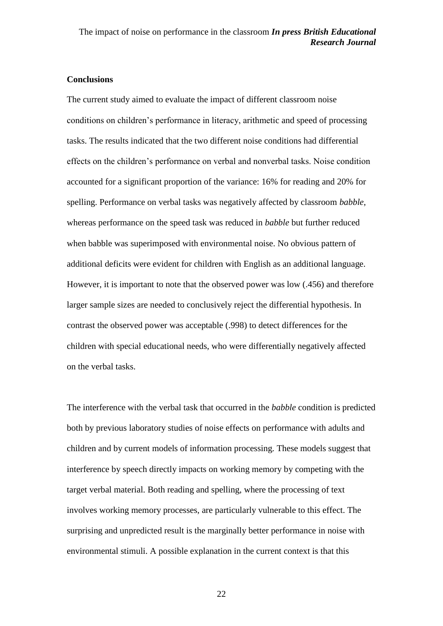### **Conclusions**

The current study aimed to evaluate the impact of different classroom noise conditions on children's performance in literacy, arithmetic and speed of processing tasks. The results indicated that the two different noise conditions had differential effects on the children's performance on verbal and nonverbal tasks. Noise condition accounted for a significant proportion of the variance: 16% for reading and 20% for spelling. Performance on verbal tasks was negatively affected by classroom *babble*, whereas performance on the speed task was reduced in *babble* but further reduced when babble was superimposed with environmental noise. No obvious pattern of additional deficits were evident for children with English as an additional language. However, it is important to note that the observed power was low (.456) and therefore larger sample sizes are needed to conclusively reject the differential hypothesis. In contrast the observed power was acceptable (.998) to detect differences for the children with special educational needs, who were differentially negatively affected on the verbal tasks.

The interference with the verbal task that occurred in the *babble* condition is predicted both by previous laboratory studies of noise effects on performance with adults and children and by current models of information processing. These models suggest that interference by speech directly impacts on working memory by competing with the target verbal material. Both reading and spelling, where the processing of text involves working memory processes, are particularly vulnerable to this effect. The surprising and unpredicted result is the marginally better performance in noise with environmental stimuli. A possible explanation in the current context is that this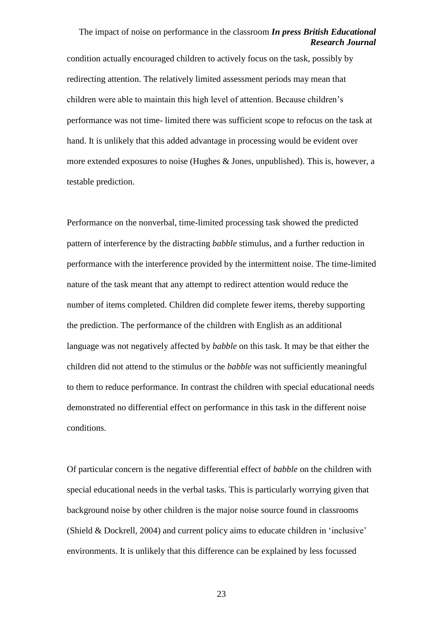condition actually encouraged children to actively focus on the task, possibly by redirecting attention. The relatively limited assessment periods may mean that children were able to maintain this high level of attention. Because children's performance was not time- limited there was sufficient scope to refocus on the task at hand. It is unlikely that this added advantage in processing would be evident over more extended exposures to noise (Hughes & Jones, unpublished). This is, however, a testable prediction.

Performance on the nonverbal, time-limited processing task showed the predicted pattern of interference by the distracting *babble* stimulus, and a further reduction in performance with the interference provided by the intermittent noise. The time-limited nature of the task meant that any attempt to redirect attention would reduce the number of items completed. Children did complete fewer items, thereby supporting the prediction. The performance of the children with English as an additional language was not negatively affected by *babble* on this task. It may be that either the children did not attend to the stimulus or the *babble* was not sufficiently meaningful to them to reduce performance. In contrast the children with special educational needs demonstrated no differential effect on performance in this task in the different noise conditions.

Of particular concern is the negative differential effect of *babble* on the children with special educational needs in the verbal tasks. This is particularly worrying given that background noise by other children is the major noise source found in classrooms (Shield & Dockrell, 2004) and current policy aims to educate children in 'inclusive' environments. It is unlikely that this difference can be explained by less focussed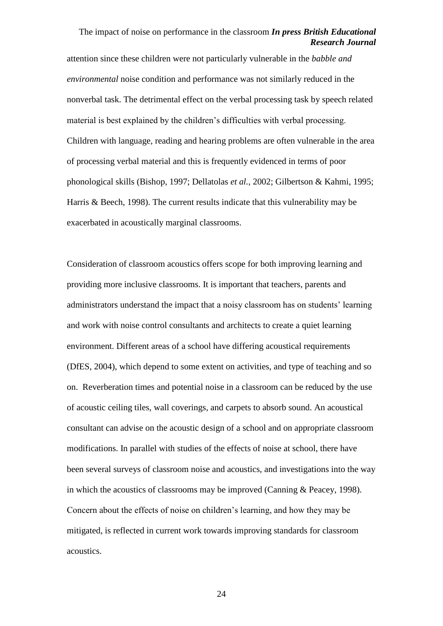attention since these children were not particularly vulnerable in the *babble and environmental* noise condition and performance was not similarly reduced in the nonverbal task. The detrimental effect on the verbal processing task by speech related material is best explained by the children's difficulties with verbal processing. Children with language, reading and hearing problems are often vulnerable in the area of processing verbal material and this is frequently evidenced in terms of poor phonological skills (Bishop, 1997; Dellatolas *et al.,* 2002; Gilbertson & Kahmi, 1995; Harris & Beech, 1998). The current results indicate that this vulnerability may be exacerbated in acoustically marginal classrooms.

Consideration of classroom acoustics offers scope for both improving learning and providing more inclusive classrooms. It is important that teachers, parents and administrators understand the impact that a noisy classroom has on students' learning and work with noise control consultants and architects to create a quiet learning environment. Different areas of a school have differing acoustical requirements (DfES, 2004), which depend to some extent on activities, and type of teaching and so on. Reverberation times and potential noise in a classroom can be reduced by the use of acoustic ceiling tiles, wall coverings, and carpets to absorb sound. An acoustical consultant can advise on the acoustic design of a school and on appropriate classroom modifications. In parallel with studies of the effects of noise at school, there have been several surveys of classroom noise and acoustics, and investigations into the way in which the acoustics of classrooms may be improved (Canning & Peacey, 1998). Concern about the effects of noise on children's learning, and how they may be mitigated, is reflected in current work towards improving standards for classroom acoustics.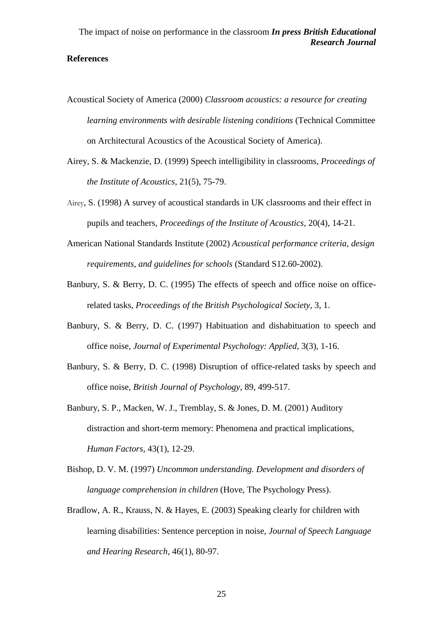### **References**

- Acoustical Society of America (2000) *Classroom acoustics: a resource for creating learning environments with desirable listening conditions* (Technical Committee on Architectural Acoustics of the Acoustical Society of America).
- Airey, S. & Mackenzie, D. (1999) Speech intelligibility in classrooms, *Proceedings of the Institute of Acoustics,* 21(5), 75-79.
- Airey, S. (1998) A survey of acoustical standards in UK classrooms and their effect in pupils and teachers, *Proceedings of the Institute of Acoustics*, 20(4), 14-21.
- American National Standards Institute (2002) *Acoustical performance criteria, design requirements, and guidelines for schools* (Standard S12.60-2002).
- Banbury, S. & Berry, D. C. (1995) The effects of speech and office noise on officerelated tasks, *Proceedings of the British Psychological Society,* 3, 1.
- Banbury, S. & Berry, D. C. (1997) Habituation and dishabituation to speech and office noise, *Journal of Experimental Psychology: Applied*, 3(3), 1-16.
- Banbury, S. & Berry, D. C. (1998) Disruption of office-related tasks by speech and office noise, *British Journal of Psychology,* 89, 499-517.
- Banbury, S. P., Macken, W. J., Tremblay, S. & Jones, D. M. (2001) Auditory distraction and short-term memory: Phenomena and practical implications, *Human Factors*, 43(1), 12-29.
- Bishop, D. V. M. (1997) *Uncommon understanding. Development and disorders of language comprehension in children* (Hove, The Psychology Press).
- Bradlow, A. R., Krauss, N. & Hayes, E. (2003) Speaking clearly for children with learning disabilities: Sentence perception in noise, *Journal of Speech Language and Hearing Research*, 46(1), 80-97.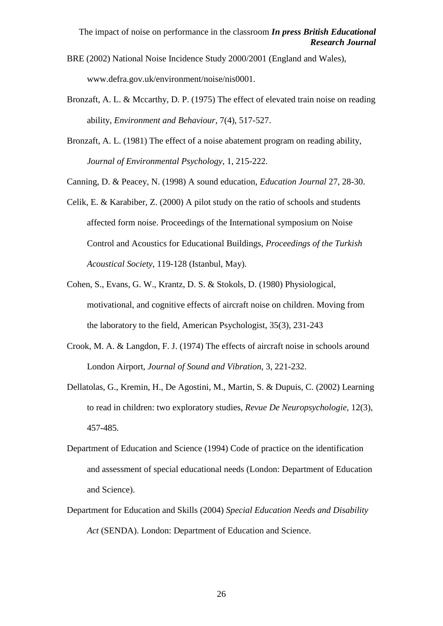- BRE (2002) National Noise Incidence Study 2000/2001 (England and Wales), www.defra.gov.uk/environment/noise/nis0001.
- Bronzaft, A. L. & Mccarthy, D. P. (1975) The effect of elevated train noise on reading ability, *Environment and Behaviour*, 7(4), 517-527.
- Bronzaft, A. L. (1981) The effect of a noise abatement program on reading ability, *Journal of Environmental Psychology*, 1, 215-222.
- Canning, D. & Peacey, N. (1998) A sound education, *Education Journal* 27, 28-30.
- Celik, E. & Karabiber, Z. (2000) A pilot study on the ratio of schools and students affected form noise. Proceedings of the International symposium on Noise Control and Acoustics for Educational Buildings, *Proceedings of the Turkish Acoustical Society*, 119-128 (Istanbul, May).
- Cohen, S., Evans, G. W., Krantz, D. S. & Stokols, D. (1980) Physiological, motivational, and cognitive effects of aircraft noise on children. Moving from the laboratory to the field, American Psychologist, 35(3), 231-243
- Crook, M. A. & Langdon, F. J. (1974) The effects of aircraft noise in schools around London Airport, *Journal of Sound and Vibration,* 3, 221-232.
- Dellatolas, G., Kremin, H., De Agostini, M., Martin, S. & Dupuis, C. (2002) Learning to read in children: two exploratory studies, *Revue De Neuropsychologie,* 12(3), 457-485.
- Department of Education and Science (1994) Code of practice on the identification and assessment of special educational needs (London: Department of Education and Science).
- Department for Education and Skills (2004) *Special Education Needs and Disability Act* (SENDA). London: Department of Education and Science.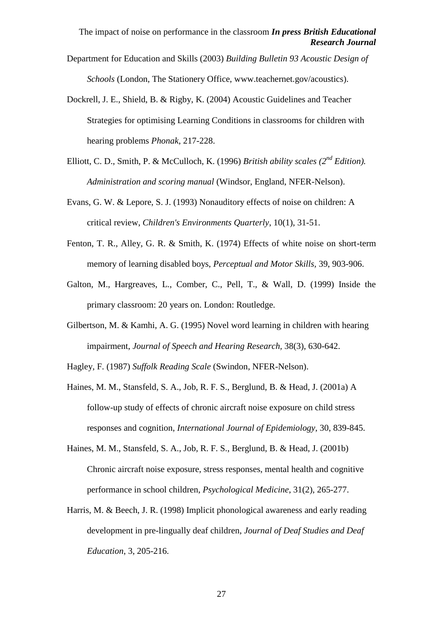- Department for Education and Skills (2003) *Building Bulletin 93 Acoustic Design of Schools* (London, The Stationery Office, www.teachernet.gov/acoustics).
- Dockrell, J. E., Shield, B. & Rigby, K. (2004) Acoustic Guidelines and Teacher Strategies for optimising Learning Conditions in classrooms for children with hearing problems *Phonak*, 217-228.
- Elliott, C. D., Smith, P. & McCulloch, K. (1996) *British ability scales (2nd Edition). Administration and scoring manual* (Windsor, England, NFER-Nelson).
- Evans, G. W. & Lepore, S. J. (1993) Nonauditory effects of noise on children: A critical review, *Children's Environments Quarterly*, 10(1), 31-51.
- Fenton, T. R., Alley, G. R. & Smith, K. (1974) Effects of white noise on short-term memory of learning disabled boys, *Perceptual and Motor Skills,* 39, 903-906.
- Galton, M., Hargreaves, L., Comber, C., Pell, T., & Wall, D. (1999) Inside the primary classroom: 20 years on. London: Routledge.
- Gilbertson, M. & Kamhi, A. G. (1995) Novel word learning in children with hearing impairment, *Journal of Speech and Hearing Research,* 38(3), 630-642.
- Hagley, F. (1987) *Suffolk Reading Scale* (Swindon, NFER-Nelson).
- Haines, M. M., Stansfeld, S. A., Job, R. F. S., Berglund, B. & Head, J. (2001a) A follow-up study of effects of chronic aircraft noise exposure on child stress responses and cognition, *International Journal of Epidemiology,* 30, 839-845.
- Haines, M. M., Stansfeld, S. A., Job, R. F. S., Berglund, B. & Head, J. (2001b) Chronic aircraft noise exposure, stress responses, mental health and cognitive performance in school children, *Psychological Medicine*, 31(2), 265-277.
- Harris, M. & Beech, J. R. (1998) Implicit phonological awareness and early reading development in pre-lingually deaf children, *Journal of Deaf Studies and Deaf Education*, 3, 205-216.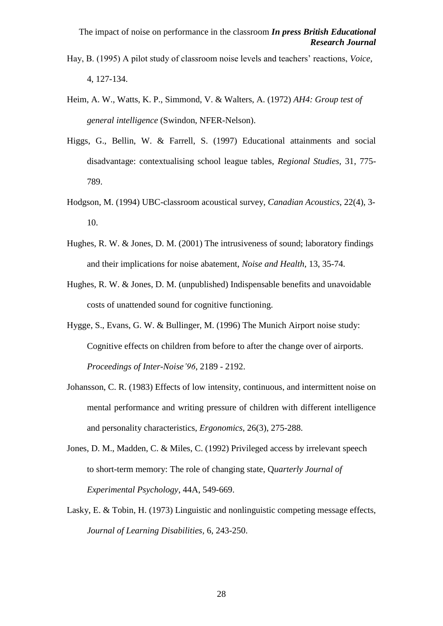- Hay, B. (1995) A pilot study of classroom noise levels and teachers' reactions, *Voice,* 4, 127-134.
- Heim, A. W., Watts, K. P., Simmond, V. & Walters, A. (1972) *AH4: Group test of general intelligence* (Swindon, NFER-Nelson).
- Higgs, G., Bellin, W. & Farrell, S. (1997) Educational attainments and social disadvantage: contextualising school league tables, *Regional Studies,* 31, 775- 789.
- Hodgson, M. (1994) UBC-classroom acoustical survey, *Canadian Acoustics*, 22(4), 3- 10.
- Hughes, R. W. & Jones, D. M. (2001) The intrusiveness of sound; laboratory findings and their implications for noise abatement, *Noise and Health*, 13, 35-74.
- Hughes, R. W. & Jones, D. M. (unpublished) Indispensable benefits and unavoidable costs of unattended sound for cognitive functioning.
- Hygge, S., Evans, G. W. & Bullinger, M. (1996) The Munich Airport noise study: Cognitive effects on children from before to after the change over of airports. *Proceedings of Inter-Noise'96*, 2189 - 2192.
- Johansson, C. R. (1983) Effects of low intensity, continuous, and intermittent noise on mental performance and writing pressure of children with different intelligence and personality characteristics, *Ergonomics*, 26(3), 275-288.
- Jones, D. M., Madden, C. & Miles, C. (1992) Privileged access by irrelevant speech to short-term memory: The role of changing state, Q*uarterly Journal of Experimental Psychology*, 44A, 549-669.
- Lasky, E. & Tobin, H. (1973) Linguistic and nonlinguistic competing message effects, *Journal of Learning Disabilities,* 6, 243-250.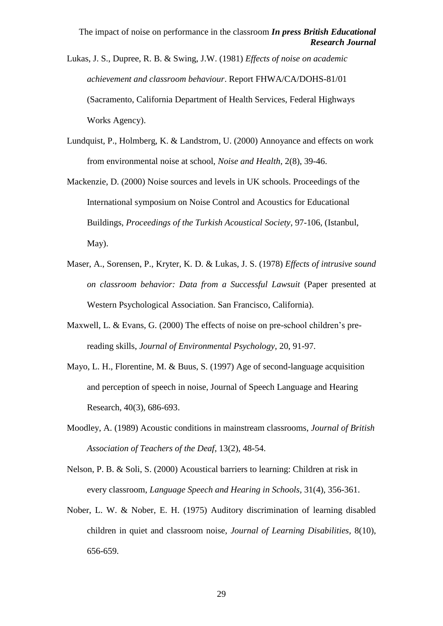Lukas, J. S., Dupree, R. B. & Swing, J.W. (1981) *Effects of noise on academic achievement and classroom behaviour*. Report FHWA/CA/DOHS-81/01 (Sacramento, California Department of Health Services, Federal Highways Works Agency).

- Lundquist, P., Holmberg, K. & Landstrom, U. (2000) Annoyance and effects on work from environmental noise at school, *Noise and Health*, 2(8), 39-46.
- Mackenzie, D. (2000) Noise sources and levels in UK schools. Proceedings of the International symposium on Noise Control and Acoustics for Educational Buildings, *Proceedings of the Turkish Acoustical Society*, 97-106, (Istanbul, May).
- Maser, A., Sorensen, P., Kryter, K. D. & Lukas, J. S. (1978) *Effects of intrusive sound on classroom behavior: Data from a Successful Lawsuit* (Paper presented at Western Psychological Association. San Francisco, California).
- Maxwell, L. & Evans, G. (2000) The effects of noise on pre-school children's prereading skills, *Journal of Environmental Psychology*, 20, 91-97.
- Mayo, L. H., Florentine, M. & Buus, S. (1997) Age of second-language acquisition and perception of speech in noise, Journal of Speech Language and Hearing Research, 40(3), 686-693.
- Moodley, A. (1989) Acoustic conditions in mainstream classrooms, *Journal of British Association of Teachers of the Deaf*, 13(2), 48-54.
- Nelson, P. B. & Soli, S. (2000) Acoustical barriers to learning: Children at risk in every classroom, *Language Speech and Hearing in Schools,* 31(4), 356-361.
- Nober, L. W. & Nober, E. H. (1975) Auditory discrimination of learning disabled children in quiet and classroom noise, *Journal of Learning Disabilities,* 8(10), 656-659.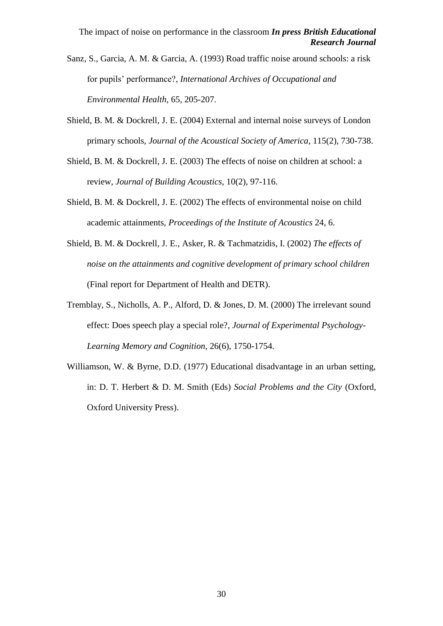Sanz, S., Garcia, A. M. & Garcia, A. (1993) Road traffic noise around schools: a risk for pupils' performance?, *International Archives of Occupational and Environmental Health*, 65, 205-207.

- Shield, B. M. & Dockrell, J. E. (2004) External and internal noise surveys of London primary schools, *Journal of the Acoustical Society of America*, 115(2), 730-738.
- Shield, B. M. & Dockrell, J. E. (2003) The effects of noise on children at school: a review, *Journal of Building Acoustics,* 10(2), 97-116.
- Shield, B. M. & Dockrell, J. E. (2002) The effects of environmental noise on child academic attainments, *Proceedings of the Institute of Acoustics* 24, 6.
- Shield, B. M. & Dockrell, J. E., Asker, R. & Tachmatzidis, I. (2002) *The effects of noise on the attainments and cognitive development of primary school children* (Final report for Department of Health and DETR).
- Tremblay, S., Nicholls, A. P., Alford, D. & Jones, D. M. (2000) The irrelevant sound effect: Does speech play a special role?, *Journal of Experimental Psychology-Learning Memory and Cognition,* 26(6), 1750-1754.
- Williamson, W. & Byrne, D.D. (1977) Educational disadvantage in an urban setting, in: D. T. Herbert & D. M. Smith (Eds) *Social Problems and the City* (Oxford, Oxford University Press).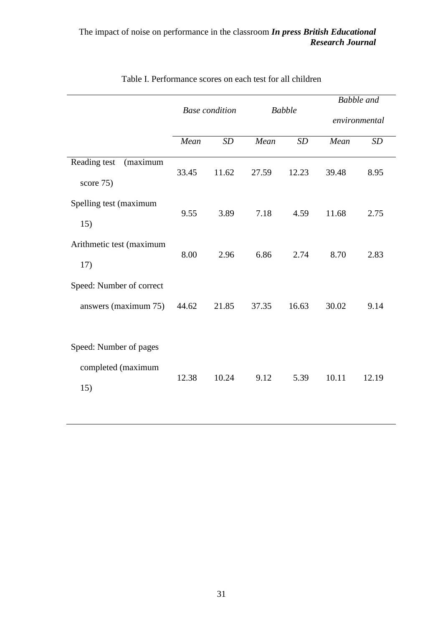|                                                     | <b>Base</b> condition |       | <b>Babble</b> |       | <b>Babble</b> and |       |
|-----------------------------------------------------|-----------------------|-------|---------------|-------|-------------------|-------|
|                                                     |                       |       |               |       | environmental     |       |
|                                                     | Mean                  | SD    | Mean          | SD    | Mean              | SD    |
| Reading test<br>(maximum<br>score 75)               | 33.45                 | 11.62 | 27.59         | 12.23 | 39.48             | 8.95  |
| Spelling test (maximum<br>15)                       | 9.55                  | 3.89  | 7.18          | 4.59  | 11.68             | 2.75  |
| Arithmetic test (maximum<br>17)                     | 8.00                  | 2.96  | 6.86          | 2.74  | 8.70              | 2.83  |
| Speed: Number of correct<br>answers (maximum 75)    | 44.62                 | 21.85 | 37.35         | 16.63 | 30.02             | 9.14  |
| Speed: Number of pages<br>completed (maximum<br>15) | 12.38                 | 10.24 | 9.12          | 5.39  | 10.11             | 12.19 |

# Table I. Performance scores on each test for all children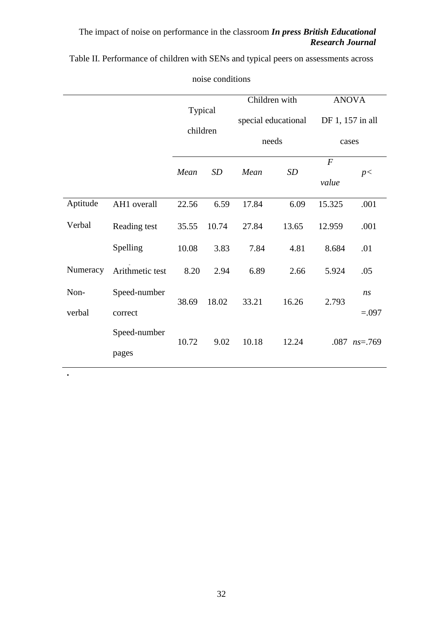Table II. Performance of children with SENs and typical peers on assessments across

|          |                 | Typical<br>children |       | Children with<br>special educational<br>needs |           | <b>ANOVA</b><br>DF 1, 157 in all |                    |
|----------|-----------------|---------------------|-------|-----------------------------------------------|-----------|----------------------------------|--------------------|
|          |                 |                     |       |                                               |           |                                  |                    |
|          |                 |                     |       |                                               |           | cases                            |                    |
|          |                 | Mean                | SD    | Mean                                          | <b>SD</b> | $\overline{F}$                   | p<                 |
|          |                 |                     |       |                                               |           | value                            |                    |
| Aptitude | AH1 overall     | 22.56               | 6.59  | 17.84                                         | 6.09      | 15.325                           | .001               |
| Verbal   | Reading test    | 35.55               | 10.74 | 27.84                                         | 13.65     | 12.959                           | .001               |
|          | Spelling        | 10.08               | 3.83  | 7.84                                          | 4.81      | 8.684                            | .01                |
| Numeracy | Arithmetic test | 8.20                | 2.94  | 6.89                                          | 2.66      | 5.924                            | .05                |
| Non-     | Speed-number    | 38.69               | 18.02 | 33.21                                         | 16.26     | 2.793                            | ns                 |
| verbal   | correct         |                     |       |                                               |           |                                  | $=.097$            |
|          | Speed-number    | 10.72               | 9.02  | 10.18                                         | 12.24     |                                  | $.087$ $ns = .769$ |
|          | pages           |                     |       |                                               |           |                                  |                    |

**.**

noise conditions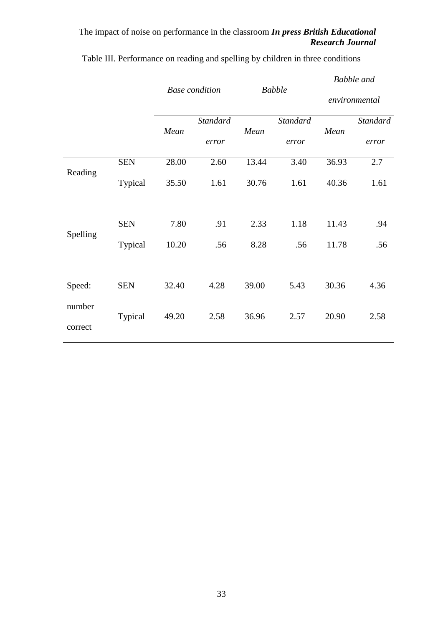|                   |            | <b>Base</b> condition |                 | <b>Babble</b> |                 | <b>Babble</b> and |          |
|-------------------|------------|-----------------------|-----------------|---------------|-----------------|-------------------|----------|
|                   |            |                       |                 |               |                 | environmental     |          |
|                   |            | Mean                  | <b>Standard</b> | Mean          | <b>Standard</b> | Mean              | Standard |
|                   |            |                       | error           |               | error           |                   | error    |
| Reading           | <b>SEN</b> | 28.00                 | 2.60            | 13.44         | 3.40            | 36.93             | 2.7      |
|                   | Typical    | 35.50                 | 1.61            | 30.76         | 1.61            | 40.36             | 1.61     |
|                   |            |                       |                 |               |                 |                   |          |
| Spelling          | <b>SEN</b> | 7.80                  | .91             | 2.33          | 1.18            | 11.43             | .94      |
|                   | Typical    | 10.20                 | .56             | 8.28          | .56             | 11.78             | .56      |
|                   |            |                       |                 |               |                 |                   |          |
| Speed:            | <b>SEN</b> | 32.40                 | 4.28            | 39.00         | 5.43            | 30.36             | 4.36     |
| number<br>correct | Typical    | 49.20                 | 2.58            | 36.96         | 2.57            | 20.90             | 2.58     |
|                   |            |                       |                 |               |                 |                   |          |

Table III. Performance on reading and spelling by children in three conditions